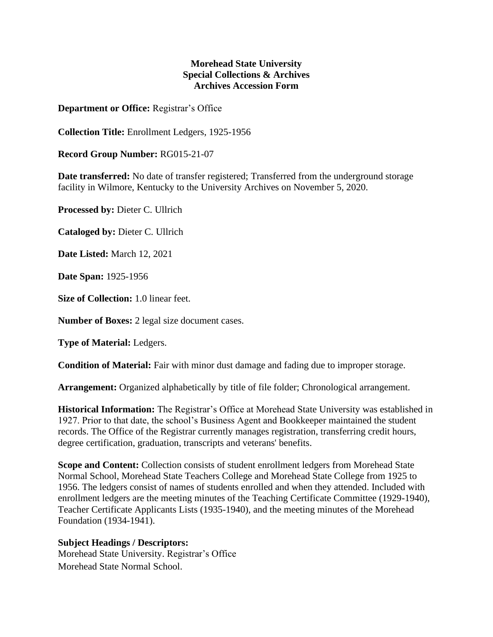## **Morehead State University Special Collections & Archives Archives Accession Form**

**Department or Office:** Registrar's Office

**Collection Title:** Enrollment Ledgers, 1925-1956

**Record Group Number:** RG015-21-07

**Date transferred:** No date of transfer registered; Transferred from the underground storage facility in Wilmore, Kentucky to the University Archives on November 5, 2020.

**Processed by:** Dieter C. Ullrich

**Cataloged by:** Dieter C. Ullrich

**Date Listed:** March 12, 2021

**Date Span:** 1925-1956

**Size of Collection:** 1.0 linear feet.

**Number of Boxes:** 2 legal size document cases.

**Type of Material:** Ledgers.

**Condition of Material:** Fair with minor dust damage and fading due to improper storage.

**Arrangement:** Organized alphabetically by title of file folder; Chronological arrangement.

**Historical Information:** The Registrar's Office at Morehead State University was established in 1927. Prior to that date, the school's Business Agent and Bookkeeper maintained the student records. The Office of the Registrar currently manages registration, transferring credit hours, degree certification, graduation, transcripts and veterans' benefits.

**Scope and Content:** Collection consists of student enrollment ledgers from Morehead State Normal School, Morehead State Teachers College and Morehead State College from 1925 to 1956. The ledgers consist of names of students enrolled and when they attended. Included with enrollment ledgers are the meeting minutes of the Teaching Certificate Committee (1929-1940), Teacher Certificate Applicants Lists (1935-1940), and the meeting minutes of the Morehead Foundation (1934-1941).

## **Subject Headings / Descriptors:**

Morehead State University. Registrar's Office Morehead State Normal School.